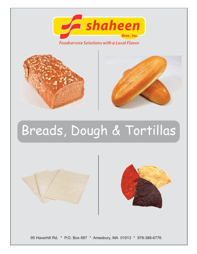

**Foodservice Solutions with a Local Flavor** 





# Breads, Dough & Tortillas





95 Haverhill Rd. \* P.O. Box 897 \* Amesbury, MA 01913 \* 978-388-6776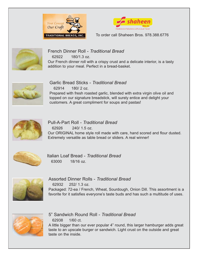





French Dinner Roll - *Traditional Bread* 62922 180/1.3 oz. Our French dinner roll with a crispy crust and a delicate interior, is a tasty addition to your meal. Perfect in a bread-basket.



Garlic Bread Sticks - *Traditional Bread* 62914 180/ 2 oz. Prepared with fresh roasted garlic, blended with extra virgin olive oil and topped on our signature breadstick, will surely entice and delight your customers. A great compliment for soups and pastas!



Pull-A-Part Roll - *Traditional Bread* 62926 240/ 1.5 oz. Our ORIGINAL home style roll made with care, hand scored and flour dusted. Extremely versatile as table bread or sliders. A real winner!



Italian Loaf Bread - *Traditional Bread* 63000 18/16 oz.



Assorted Dinner Rolls - *Traditional Bread* 62932 252/ 1.3 oz. Packaged: 72-ea / French, Wheat, Sourdough, Onion Dill. This assortment is a favorite for it satisfies everyone's taste buds and has such a multitude of uses.



5" Sandwich Round Roll - *Traditional Bread* 62938 1/60 ct.

A little bigger than our ever popular 4" round, this larger hamburger adds great taste to an upscale burger or sandwich. Light crust on the outside and great taste on the inside.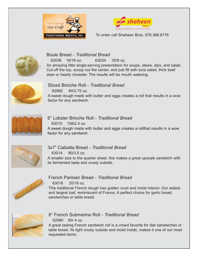





#### Boule Bread - *Traditional Bread*

 63036 16/16 oz. 63034 30/8 oz. An amazing little single-serving presentation for soups, stews, dips, and salad. Cut-off the top, scoop out the center, and just fill with tuna salad, thick beef stew or hearty chowder. The results will be mouth watering.



Sliced Brioche Roll - *Traditional Bread* 62992 84/2.75 oz.

A sweet dough made with butter and eggs creates a roll that results in a wow factor for any sandwich.



6" Lobster Brioche Roll - *Traditional Bread* 63010 108/2.4 oz.

A sweet dough made with butter and eggs creates a rollthat results in a wow factor for any sandwich.



3x7" Ciabatta Bread - *Traditional Bread*

63014 80/3.5 oz.

A smaller size to the quarter sheet, this makes a great upscale sandwich with its fermented taste and crusty outside.



French Parisian Bread - *Traditional Bread*

63016 20/16 oz.

This traditional French dough has golden crust and moist interior. Our widest and largest loaf, reminiscent of France. A perfect choice for garlic bread, sandwiches or table bread.



8" French Submarine Roll - *Traditional Bread* 62980 60/ 4 oz.

A great tasting French sandwich roll is a crowd favorite for deli sandwiches or table bread. Its light crusty outside and moist inside, makes it one of our most requested items.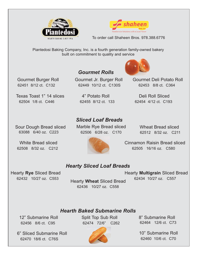



Piantedosi Baking Company, Inc. is a fourth generation family-owned bakery built on commitment to quality and service

#### Gourmet Burger Roll 62451 8/12 ct. C132

Texas Toast 1" 14 slices 62504 1/8 ct. C446

4" Potato Roll 62455 8/12 ct. 133

Gourmet Jr. Burger Roll 62449 10/12 ct. C130S

*Gourmet Rolls*



Gourmet Deli Potato Roll 62453 8/8 ct. C364

Deli Roll Sliced 62454 4/12 ct. C193

Sour Dough Bread sliced 63088 6/40 oz. C223

White Bread sliced 62508 8/32 oz. C212

## *Sliced Loaf Breads*

Marble Rye Bread sliced 62506 6/28 oz. C170

Wheat Bread sliced 62512 8/32 oz. C211



Cinnamon Raisin Bread sliced 62505 16/16 oz. C580

#### *Hearty Sliced Loaf Breads*

Hearty **Rye** Sliced Bread 62432 10/27 oz. C553

 62434 10/27 oz. C557 Hearty **Wheat** Sliced Bread 62436 10/27 oz. C558

Hearty **Multigrain** Sliced Bread

#### *Hearth Baked Submarine Rolls*

12" Submarine Roll 62456 8/6 ct. C95

6" Sliced Submarine Roll 62470 18/6 ct. C76S

Split Top Sub Roll 62474 72/6" C262



8" Submarine Roll 62464 12/6 ct. C73

10" Submarine Roll 62460 10/6 ct. C70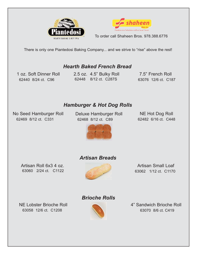



There is only one Piantedosi Baking Company... and we strive to "rise" above the rest!

#### *Hearth Baked French Bread*

1 oz. Soft Dinner Roll 62440 8/24 ct. C96

 63076 12/6 ct. C187 62448 8/12 ct. C287S 2.5 oz. 4.5" Bulky Roll

7.5" French Roll

### *Hamburger & Hot Dog Rolls*

No Seed Hamburger Roll 62469 8/12 ct. C331

Deluxe Hamburger Roll 62468 8/12 ct. C89

NE Hot Dog Roll 62482 6/16 ct. C448



### *Artisan Breads*

Artisan Roll 6x3 4 oz. 63060 2/24 ct. C1122



 Artisan Small Loaf 63062 1/12 ct. C1170

NE Lobster Brioche Roll 63058 12/6 ct. C1208



*Brioche Rolls*

4" Sandwich Brioche Roll 63070 8/6 ct. C419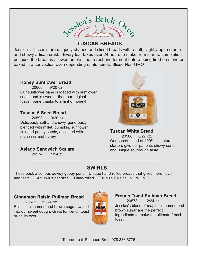

#### **TUSCAN BREADS**

Jessica's Tuscan's are uniquely shaped and sliced breads with a soft, slightly open crumb and chewy artisan crust. Every loaf takes over 24 hours to make from start to completion because the bread is allowed ample time to rest and ferment before being fired on stone or baked in a convection oven depending on its needs. Sliced Non-GMO

#### **Honey Sunflower Bread**

20600 9/20 oz. Our sunflower pane is loaded with sunflower seeds and is sweeter than our original tuscan pane thanks to a hint of honey!

#### **Tuscan 5 Seed Bread**

20598 9/20 oz. Deliciously soft and chewy, generously blended with millet, pumpkin, sunflower, flax and poppy seeds, accented with molasses and honey.

#### **Asiago Sandwich Square**

20574 1/54 ct.



**Tuscan White Bread** 20568 8/27 oz. Our secret blend of 100% all natural starters give our pane its chewy center and unique sourdough taste.

## **SWIRLS**

These pack a serious oowey gooey punch! Unique hand-rolled breads that gives more flavor and taste. 4.5 swirls per slice Hand-rolled Full size Raisins NON-GMO

#### **Cinnamon Raisin Pullman Bread**

20572 12/24 oz. Raisins, cinnamon and brown sugar swirled into our sweet dough. Great for french toast or on its own.



**French Toast Pullman Bread** 20578 12/24 oz. Jessica's blend of maple, cinnamon and brown sugar are the perfect ingredients to make the ultimate french toast.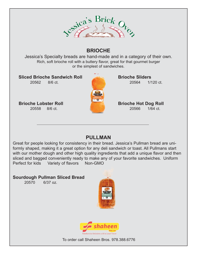

## **BRIOCHE**

Jessica's Specialty breads are hand-made and in a category of their own. Rich, soft brioche roll with a buttery flavor, great for that gourmet burger or the simplest of sandwiches.

**Sliced Brioche Sandwich Roll** 20562 8/6 ct.

**Brioche Lobster Roll** 20558 8/6 ct.



**Brioche Sliders** 20564 1/120 ct.

#### **Brioche Hot Dog Roll** 20566 1/64 ct.

### **PULLMAN**

Great for people looking for consistency in their bread. Jessica's Pullman bread are uniformly shaped, making it a great option for any deli sandwich or toast. All Pullmans start with our mother dough and other high quality ingredients that add a unique flavor and then sliced and bagged conveniently ready to make any of your favorite sandwiches. Uniform Perfect for kids Variety of flavors Non-GMO

#### **Sourdough Pullman Sliced Bread**

20570 6/37 oz.



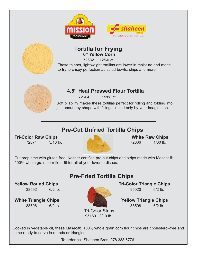



#### **6" Yellow Corn Tortilla for Frying**

72682 12/60 ct.

These thinner, lightweight tortillas are lower in moisture and made to fry to crispy perfection as salad bowls, chips and more.



#### **4.5" Heat Pressed Flour Tortilla**

72664 1/288 ct.

Soft pliability makes these tortillas perfect for rolling and folding into just about any shape with fillings limited only by your imagination.

## **Pre-Cut Unfried Tortilla Chips**

**Tri-Color Raw Chips Chips All Accords** White Raw Chips **White Raw Chips** 



Cut prep time with gluten free, Kosher certified pre-cut chips and strips made with Maseca® 100% whole grain corn flour fit for all of your favorite dishes.

**Pre-Fried Tortilla Chips**

38592 6/2 lb. 95020 6/2 lb.



Tri-Color Strips 95160 3/10 lb.

**Yellow Round Chips Tri-Color Triangle Chips** 

**White Triangle Chips Wellow Triangle Chips** 38596 6/2 lb. 38598 6/2 lb.

Cooked in vegetable oil, these Maseca® 100% whole grain corn flour chips are cholesterol-free and come ready to serve in rounds or triangles.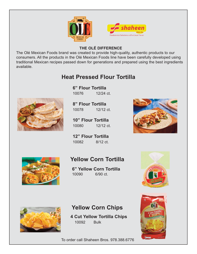



#### **THE OLÉ DIFFERENCE**

The Olé Mexican Foods brand was created to provide high-quality, authentic products to our consumers. All the products in the Olé Mexican Foods line have been carefully developed using traditional Mexican recipes passed down for generations and prepared using the best ingredients available.

## **Heat Pressed Flour Tortilla**

**6" Flour Tortilla** 10076 12/24 ct.

**8" Flour Tortilla** 10078 12/12 ct.

**10" Flour Tortilla** 10080 12/12 ct.

**12" Flour Tortilla** 10082 8/12 ct.



## **Yellow Corn Tortilla**

**6" Yellow Corn Tortilla** 10090 6/90 ct.





## **Yellow Corn Chips**

**4 Cut Yellow Tortilla Chips** 10092 Bulk

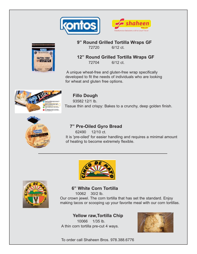





#### **9" Round Grilled Tortilla Wraps GF**

72720 6/12 ct.

#### **12" Round Grilled Tortilla Wraps GF**

72704 6/12 ct.

 A unique wheat-free and gluten-free wrap specifically developed to fit the needs of individuals who are looking for wheat and gluten free options.



#### **Fillo Dough**

93582 12/1 lb. Tissue thin and crispy: Bakes to a crunchy, deep golden finish.



#### **7" Pre-Oiled Gyro Bread**

 62490 12/10 ct. It is 'pre-oiled' for easier handling and requires a minimal amount of heating to become extremely flexible.





#### **6" White Corn Tortilla**

 10062 30/2 lb. Our crown jewel. The corn tortilla that has set the standard. Enjoy making tacos or scooping up your favorite meal with our corn tortillas.

#### **Yellow raw,Tortilla Chip**

 10066 1/35 lb. A thin corn tortilla pre-cut 4 ways.

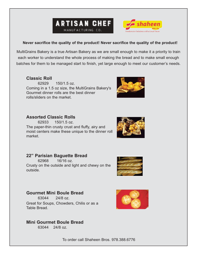



#### **Never sacrifice the quality of the product! Never sacrifice the quality of the product!**

MultiGrains Bakery is a true Artisan Bakery as we are small enough to make it a priority to train each worker to understand the whole process of making the bread and to make small enough batches for them to be managed start to finish, yet large enough to meet our customer's needs.

#### **Classic Roll**

62929 150/1.5 oz. Coming in a 1.5 oz size, the MultiGrains Bakery's Gourmet dinner rolls are the best dinner rolls/sliders on the market.



#### **Assorted Classic Rolls**

62933 150/1.5 oz. The paper-thin crusty crust and fluffy, airy and moist centers make these unique to the dinner roll market.



62968 16/16 oz. Crusty on the outside and light and chewy on the outside.



#### **Gourmet Mini Boule Bread**

63044 24/8 oz. Great for Soups, Chowders, Chilis or as a Table Bread.



#### **Mini Gourmet Boule Bread**

63044 24/8 oz.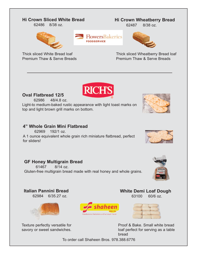#### **Hi Crown Sliced White Bread**

62486 8/38 oz.



Thick sliced White Bread loaf Premium Thaw & Serve Breads

#### **Hi Crown Wheatberry Bread**

62487 8/38 oz.



Thick sliced Wheatberry Bread loaf Premium Thaw & Serve Breads



**FOODSERVICE** 

#### **Oval Flatbread 12/5**

62986 48/4.8 oz. Light-to medium-baked rustic appearance with light toast marks on top and light brown grill marks on bottom.

#### **4" Whole Grain Mini Flatbread**

**GF Honey Multigrain Bread**  61467 8/14 oz.

62969 192/1 oz. A 1 ounce equivalent whole grain rich miniature flatbread, perfect for sliders!

Gluten-free multigrain bread made with real honey and whole grains.





## **Italian Pannini Bread**

#### 62984 6/35.27 oz.



Texture perfectly versatile for savory or sweet sandwiches.





**White Demi Loaf Dough** 63100 60/6 oz.

Proof & Bake. Small white bread loaf perfect for serving as a table bread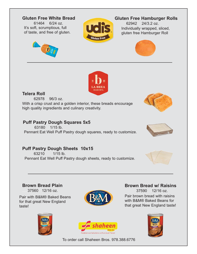#### **Gluten Free White Bread**

61464 6/24 oz. It's soft, scrumptious, full of taste, and free of gluten.





#### **Gluten Free Hamburger Rolls**

62942 24/3.2 oz. Individually wrapped, sliced, gluten free Hamburger Roll





#### **Telera Roll**

62978 96/3 oz. With a crisp crust and a golden interior, these breads encourage high quality ingredients and culinary creativity.

#### **Puff Pastry Dough Squares 5x5**

63180 1/15 lb. Pennant Eat Well Puff Pastry dough squares, ready to customize.

#### **Puff Pastry Dough Sheets 10x15**

63210 1/15 lb. Pennant Eat Well Puff Pastry dough sheets, ready to customize.



#### **Brown Bread Plain**

.....37560 12/16 oz.

Pair with B&M® Baked Beans for that great New England taste!





#### **Brown Bread w/ Raisins** 37590 12/16 oz.

Pair brown bread with raisins with B&M® Baked Beans for that great New England taste!







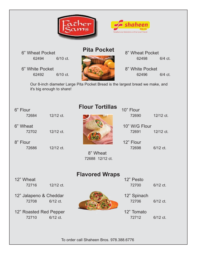



6" Wheat Pocket 62494 6/10 ct.

6" White Pocket 62492 6/10 ct.

## **Pita Pocket**

8" Wheat Pocket 62498 6/4 ct.

8" White Pocket 62496 6/4 ct.

Our 8-inch diameter Large Pita Pocket Bread is the largest bread we make, and it's big enough to share!

## $6"$  Flour  $10"$  Flour 10" Flour

6" Wheat 10" W/G Flour

8" Flour 12" Flour 12" Flour

**Flour Tortillas**

 8" Wheat 72688 12/12 ct.

## 72684 12/12 ct. 72690 12/12 ct.

72702 12/12 ct. 72691 12/12 ct.

72686 12/12 ct. 72698 6/12 ct.

12" Wheat ... **12"** Pesto

12" Jalapeno & Cheddar .. .12" Spinach

12" Roasted Red Pepper . ..12" Tomato 72710 6/12 ct. 72712 6/12 ct.

## 72716 12/12 ct. 72700 6/12 ct.

**Flavored Wraps**

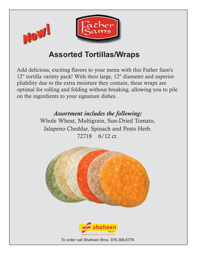

## **Assorted Tortillas/Wraps**

Add delicious, exciting flavors to your menu with this Father Sam's 12" tortilla variety pack! With their large, 12" diameter and superior pliability due to the extra moisture they contain, these wraps are optimal for rolling and folding without breaking, allowing you to pile on the ingredients to your signature dishes.

*Assortment includes the following:*

Whole Wheat, Multigrain, Sun-Dried Tomato, Jalapeno Cheddar, Spinach and Pesto Herb. 72718 6/12 ct.